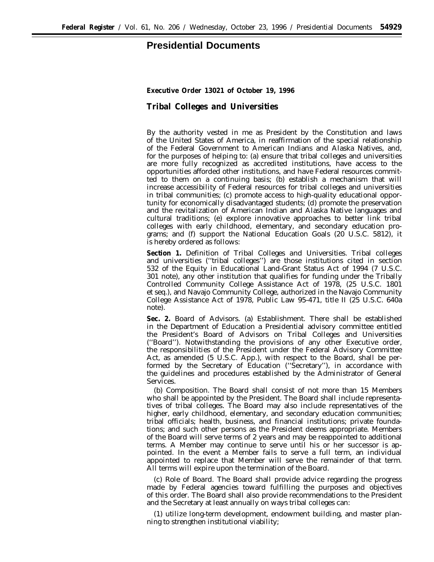## **Presidential Documents**

**Executive Order 13021 of October 19, 1996**

**Tribal Colleges and Universities**

By the authority vested in me as President by the Constitution and laws of the United States of America, in reaffirmation of the special relationship of the Federal Government to American Indians and Alaska Natives, and, for the purposes of helping to: (a) ensure that tribal colleges and universities are more fully recognized as accredited institutions, have access to the opportunities afforded other institutions, and have Federal resources committed to them on a continuing basis; (b) establish a mechanism that will increase accessibility of Federal resources for tribal colleges and universities in tribal communities; (c) promote access to high-quality educational opportunity for economically disadvantaged students; (d) promote the preservation and the revitalization of American Indian and Alaska Native languages and cultural traditions; (e) explore innovative approaches to better link tribal colleges with early childhood, elementary, and secondary education programs; and (f) support the National Education Goals (20 U.S.C. 5812), it is hereby ordered as follows:

**Section 1.** *Definition of Tribal Colleges and Universities.* Tribal colleges and universities (''tribal colleges'') are those institutions cited in section 532 of the Equity in Educational Land-Grant Status Act of 1994 (7 U.S.C. 301 note), any other institution that qualifies for funding under the Tribally Controlled Community College Assistance Act of 1978, (25 U.S.C. 1801 *et seq*.), and Navajo Community College, authorized in the Navajo Community College Assistance Act of 1978, Public Law 95-471, title II (25 U.S.C. 640a note).

**Sec. 2.** *Board of Advisors.* (a) *Establishment.* There shall be established in the Department of Education a Presidential advisory committee entitled the President's Board of Advisors on Tribal Colleges and Universities (''Board''). Notwithstanding the provisions of any other Executive order, the responsibilities of the President under the Federal Advisory Committee Act, as amended (5 U.S.C. App.), with respect to the Board, shall be performed by the Secretary of Education (''Secretary''), in accordance with the guidelines and procedures established by the Administrator of General Services.

(b) *Composition.* The Board shall consist of not more than 15 Members who shall be appointed by the President. The Board shall include representatives of tribal colleges. The Board may also include representatives of the higher, early childhood, elementary, and secondary education communities; tribal officials; health, business, and financial institutions; private foundations; and such other persons as the President deems appropriate. Members of the Board will serve terms of 2 years and may be reappointed to additional terms. A Member may continue to serve until his or her successor is appointed. In the event a Member fails to serve a full term, an individual appointed to replace that Member will serve the remainder of that term. All terms will expire upon the termination of the Board.

(c) *Role of Board.* The Board shall provide advice regarding the progress made by Federal agencies toward fulfilling the purposes and objectives of this order. The Board shall also provide recommendations to the President and the Secretary at least annually on ways tribal colleges can:

(1) utilize long-term development, endowment building, and master planning to strengthen institutional viability;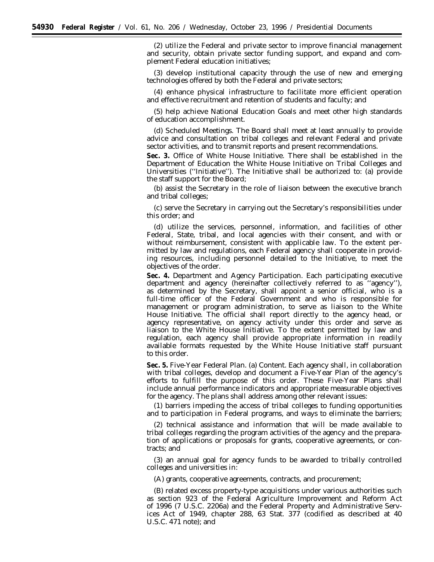(2) utilize the Federal and private sector to improve financial management and security, obtain private sector funding support, and expand and complement Federal education initiatives;

(3) develop institutional capacity through the use of new and emerging technologies offered by both the Federal and private sectors;

(4) enhance physical infrastructure to facilitate more efficient operation and effective recruitment and retention of students and faculty; and

(5) help achieve National Education Goals and meet other high standards of education accomplishment.

(d) *Scheduled Meetings.* The Board shall meet at least annually to provide advice and consultation on tribal colleges and relevant Federal and private sector activities, and to transmit reports and present recommendations.

**Sec. 3.** *Office of White House Initiative.* There shall be established in the Department of Education the White House Initiative on Tribal Colleges and Universities (''Initiative''). The Initiative shall be authorized to: (a) provide the staff support for the Board;

(b) assist the Secretary in the role of liaison between the executive branch and tribal colleges;

(c) serve the Secretary in carrying out the Secretary's responsibilities under this order; and

(d) utilize the services, personnel, information, and facilities of other Federal, State, tribal, and local agencies with their consent, and with or without reimbursement, consistent with applicable law. To the extent permitted by law and regulations, each Federal agency shall cooperate in providing resources, including personnel detailed to the Initiative, to meet the objectives of the order.

**Sec. 4.** *Department and Agency Participation.* Each participating executive department and agency (hereinafter collectively referred to as ''agency''), as determined by the Secretary, shall appoint a senior official, who is a full-time officer of the Federal Government and who is responsible for management or program administration, to serve as liaison to the White House Initiative. The official shall report directly to the agency head, or agency representative, on agency activity under this order and serve as liaison to the White House Initiative. To the extent permitted by law and regulation, each agency shall provide appropriate information in readily available formats requested by the White House Initiative staff pursuant to this order.

**Sec. 5.** *Five-Year Federal Plan.* (a) *Content.* Each agency shall, in collaboration with tribal colleges, develop and document a Five-Year Plan of the agency's efforts to fulfill the purpose of this order. These Five-Year Plans shall include annual performance indicators and appropriate measurable objectives for the agency. The plans shall address among other relevant issues:

(1) barriers impeding the access of tribal colleges to funding opportunities and to participation in Federal programs, and ways to eliminate the barriers;

(2) technical assistance and information that will be made available to tribal colleges regarding the program activities of the agency and the preparation of applications or proposals for grants, cooperative agreements, or contracts; and

(3) an annual goal for agency funds to be awarded to tribally controlled colleges and universities in:

(A) grants, cooperative agreements, contracts, and procurement;

(B) related excess property-type acquisitions under various authorities such as section 923 of the Federal Agriculture Improvement and Reform Act of 1996 (7 U.S.C. 2206a) and the Federal Property and Administrative Services Act of 1949, chapter 288, 63 Stat. 377 (codified as described at 40 U.S.C. 471 note); and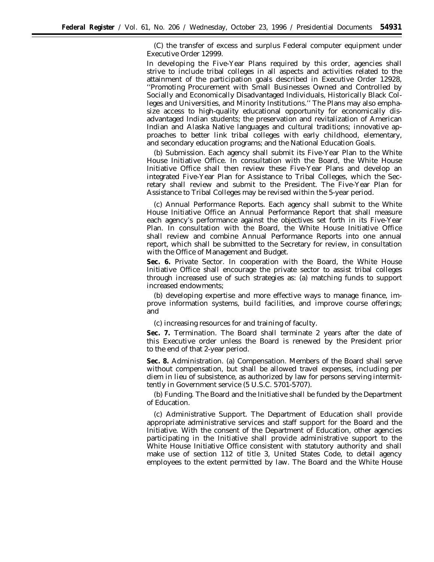(C) the transfer of excess and surplus Federal computer equipment under Executive Order 12999.

In developing the Five-Year Plans required by this order, agencies shall strive to include tribal colleges in all aspects and activities related to the attainment of the participation goals described in Executive Order 12928, ''Promoting Procurement with Small Businesses Owned and Controlled by Socially and Economically Disadvantaged Individuals, Historically Black Colleges and Universities, and Minority Institutions.'' The Plans may also emphasize access to high-quality educational opportunity for economically disadvantaged Indian students; the preservation and revitalization of American Indian and Alaska Native languages and cultural traditions; innovative approaches to better link tribal colleges with early childhood, elementary, and secondary education programs; and the National Education Goals.

(b) *Submission.* Each agency shall submit its Five-Year Plan to the White House Initiative Office. In consultation with the Board, the White House Initiative Office shall then review these Five-Year Plans and develop an integrated Five-Year Plan for Assistance to Tribal Colleges, which the Secretary shall review and submit to the President. The Five-Year Plan for Assistance to Tribal Colleges may be revised within the 5-year period.

(c) *Annual Performance Reports.* Each agency shall submit to the White House Initiative Office an Annual Performance Report that shall measure each agency's performance against the objectives set forth in its Five-Year Plan. In consultation with the Board, the White House Initiative Office shall review and combine Annual Performance Reports into one annual report, which shall be submitted to the Secretary for review, in consultation with the Office of Management and Budget.

**Sec. 6.** *Private Sector.* In cooperation with the Board, the White House Initiative Office shall encourage the private sector to assist tribal colleges through increased use of such strategies as: (a) matching funds to support increased endowments;

(b) developing expertise and more effective ways to manage finance, improve information systems, build facilities, and improve course offerings; and

(c) increasing resources for and training of faculty.

**Sec. 7.** *Termination.* The Board shall terminate 2 years after the date of this Executive order unless the Board is renewed by the President prior to the end of that 2-year period.

**Sec. 8.** *Administration.* (a) *Compensation.* Members of the Board shall serve without compensation, but shall be allowed travel expenses, including per diem in lieu of subsistence, as authorized by law for persons serving intermittently in Government service (5 U.S.C. 5701-5707).

(b) *Funding.* The Board and the Initiative shall be funded by the Department of Education.

(c) *Administrative Support.* The Department of Education shall provide appropriate administrative services and staff support for the Board and the Initiative. With the consent of the Department of Education, other agencies participating in the Initiative shall provide administrative support to the White House Initiative Office consistent with statutory authority and shall make use of section 112 of title 3, United States Code, to detail agency employees to the extent permitted by law. The Board and the White House